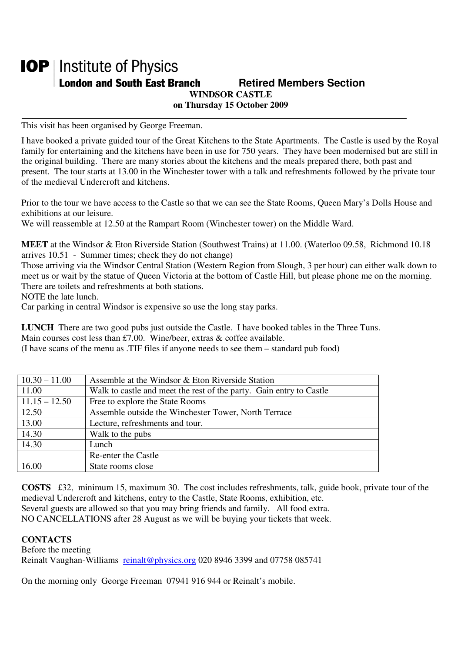## **IOP** | Institute of Physics **London and South East Branch Fig. 2.1 Retired Members Section WINDSOR CASTLE on Thursday 15 October 2009**

This visit has been organised by George Freeman.

I have booked a private guided tour of the Great Kitchens to the State Apartments. The Castle is used by the Royal family for entertaining and the kitchens have been in use for 750 years. They have been modernised but are still in the original building. There are many stories about the kitchens and the meals prepared there, both past and present. The tour starts at 13.00 in the Winchester tower with a talk and refreshments followed by the private tour of the medieval Undercroft and kitchens.

Prior to the tour we have access to the Castle so that we can see the State Rooms, Queen Mary's Dolls House and exhibitions at our leisure.

We will reassemble at 12.50 at the Rampart Room (Winchester tower) on the Middle Ward.

**MEET** at the Windsor & Eton Riverside Station (Southwest Trains) at 11.00. (Waterloo 09.58, Richmond 10.18 arrives 10.51 - Summer times; check they do not change)

Those arriving via the Windsor Central Station (Western Region from Slough, 3 per hour) can either walk down to meet us or wait by the statue of Queen Victoria at the bottom of Castle Hill, but please phone me on the morning. There are toilets and refreshments at both stations.

NOTE the late lunch.

Car parking in central Windsor is expensive so use the long stay parks.

**LUNCH** There are two good pubs just outside the Castle. I have booked tables in the Three Tuns. Main courses cost less than £7.00. Wine/beer, extras & coffee available.

(I have scans of the menu as .TIF files if anyone needs to see them – standard pub food)

| $10.30 - 11.00$ | Assemble at the Windsor & Eton Riverside Station                    |
|-----------------|---------------------------------------------------------------------|
| 11.00           | Walk to castle and meet the rest of the party. Gain entry to Castle |
| $11.15 - 12.50$ | Free to explore the State Rooms                                     |
| 12.50           | Assemble outside the Winchester Tower, North Terrace                |
| 13.00           | Lecture, refreshments and tour.                                     |
| 14.30           | Walk to the pubs                                                    |
| 14.30           | Lunch                                                               |
|                 | Re-enter the Castle                                                 |
| 16.00           | State rooms close                                                   |

**COSTS** £32, minimum 15, maximum 30. The cost includes refreshments, talk, guide book, private tour of the medieval Undercroft and kitchens, entry to the Castle, State Rooms, exhibition, etc.

Several guests are allowed so that you may bring friends and family. All food extra.

NO CANCELLATIONS after 28 August as we will be buying your tickets that week.

## **CONTACTS**

Before the meeting Reinalt Vaughan-Williams reinalt@physics.org 020 8946 3399 and 07758 085741

On the morning only George Freeman 07941 916 944 or Reinalt's mobile.